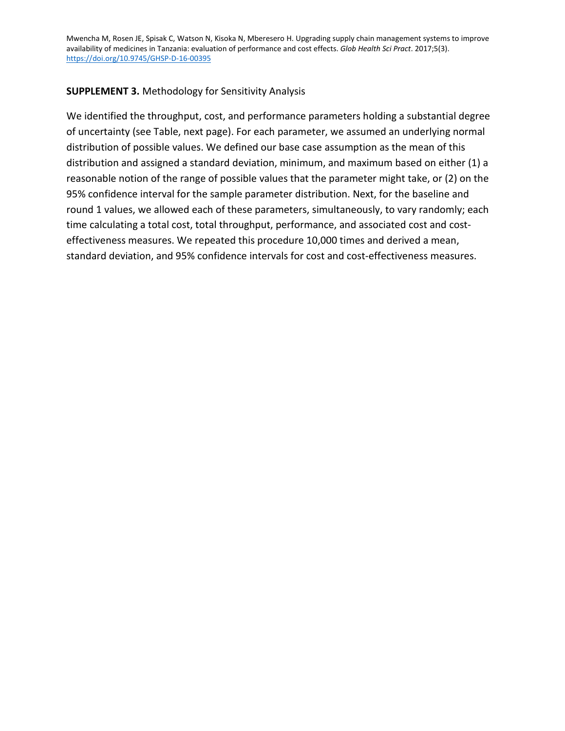Mwencha M, Rosen JE, Spisak C, Watson N, Kisoka N, Mberesero H. Upgrading supply chain management systems to improve availability of medicines in Tanzania: evaluation of performance and cost effects. *Glob Health Sci Pract*. 2017;5(3). <https://doi.org/10.9745/GHSP-D-16-00395>

## **SUPPLEMENT 3.** Methodology for Sensitivity Analysis

We identified the throughput, cost, and performance parameters holding a substantial degree of uncertainty (see Table, next page). For each parameter, we assumed an underlying normal distribution of possible values. We defined our base case assumption as the mean of this distribution and assigned a standard deviation, minimum, and maximum based on either (1) a reasonable notion of the range of possible values that the parameter might take, or (2) on the 95% confidence interval for the sample parameter distribution. Next, for the baseline and round 1 values, we allowed each of these parameters, simultaneously, to vary randomly; each time calculating a total cost, total throughput, performance, and associated cost and costeffectiveness measures. We repeated this procedure 10,000 times and derived a mean, standard deviation, and 95% confidence intervals for cost and cost-effectiveness measures.